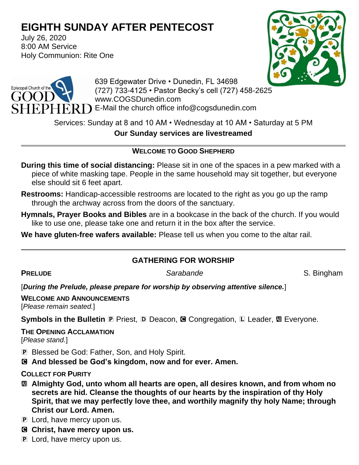# **EIGHTH SUNDAY AFTER PENTECOST**

July 26, 2020 8:00 AM Service Holy Communion: Rite One





639 Edgewater Drive • Dunedin, FL 34698 (727) 733-4125 • Pastor Becky's cell (727) 458-2625 www.COGSDunedin.com E-Mail the church office info@cogsdunedin.com

Services: Sunday at 8 and 10 AM • Wednesday at 10 AM • Saturday at 5 PM

# **Our Sunday services are livestreamed**

# **WELCOME TO GOOD SHEPHERD**

- **During this time of social distancing:** Please sit in one of the spaces in a pew marked with a piece of white masking tape. People in the same household may sit together, but everyone else should sit 6 feet apart.
- **Restrooms:** Handicap-accessible restrooms are located to the right as you go up the ramp through the archway across from the doors of the sanctuary.
- **Hymnals, Prayer Books and Bibles** are in a bookcase in the back of the church. If you would like to use one, please take one and return it in the box after the service.

**We have gluten-free wafers available:** Please tell us when you come to the altar rail.

# **GATHERING FOR WORSHIP**

**PRELUDE** Sarabande Sarabande S. Bingham

[*During the Prelude, please prepare for worship by observing attentive silence.*]

**WELCOME AND ANNOUNCEMENTS** [*Please remain seated.*]

**Symbols in the Bulletin <b>P** Priest, **D** Deacon, **G** Congregation, **L** Leader, **M** Everyone.

**THE OPENING ACCLAMATION** [*Please stand.*]

P Blessed be God: Father, Son, and Holy Spirit.

C **And blessed be God's kingdom, now and for ever. Amen.**

# **COLLECT FOR PURITY**

a **Almighty God, unto whom all hearts are open, all desires known, and from whom no secrets are hid. Cleanse the thoughts of our hearts by the inspiration of thy Holy Spirit, that we may perfectly love thee, and worthily magnify thy holy Name; through Christ our Lord. Amen.**

**P** Lord, have mercy upon us.

- C **Christ, have mercy upon us.**
- P Lord, have mercy upon us.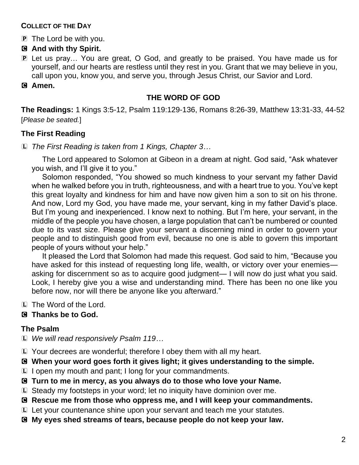#### **COLLECT OF THE DAY**

P The Lord be with you.

## C **And with thy Spirit.**

P Let us pray… You are great, O God, and greatly to be praised. You have made us for yourself, and our hearts are restless until they rest in you. Grant that we may believe in you, call upon you, know you, and serve you, through Jesus Christ, our Savior and Lord.

#### C **Amen.**

# **THE WORD OF GOD**

**The Readings:** 1 Kings 3:5-12, Psalm 119:129-136, Romans 8:26-39, Matthew 13:31-33, 44-52 [*Please be seated.*]

# **The First Reading**

L *The First Reading is taken from 1 Kings, Chapter 3…*

The Lord appeared to Solomon at Gibeon in a dream at night. God said, "Ask whatever you wish, and I'll give it to you."

Solomon responded, "You showed so much kindness to your servant my father David when he walked before you in truth, righteousness, and with a heart true to you. You've kept this great loyalty and kindness for him and have now given him a son to sit on his throne. And now, Lord my God, you have made me, your servant, king in my father David's place. But I'm young and inexperienced. I know next to nothing. But I'm here, your servant, in the middle of the people you have chosen, a large population that can't be numbered or counted due to its vast size. Please give your servant a discerning mind in order to govern your people and to distinguish good from evil, because no one is able to govern this important people of yours without your help."

It pleased the Lord that Solomon had made this request. God said to him, "Because you have asked for this instead of requesting long life, wealth, or victory over your enemies asking for discernment so as to acquire good judgment— I will now do just what you said. Look, I hereby give you a wise and understanding mind. There has been no one like you before now, nor will there be anyone like you afterward."

L The Word of the Lord.

# C **Thanks be to God.**

# **The Psalm**

- L *We will read responsively Psalm 119…*
- L Your decrees are wonderful; therefore I obey them with all my heart.
- C **When your word goes forth it gives light; it gives understanding to the simple.**
- L I open my mouth and pant; I long for your commandments.
- C **Turn to me in mercy, as you always do to those who love your Name.**
- L Steady my footsteps in your word; let no iniquity have dominion over me.
- C **Rescue me from those who oppress me, and I will keep your commandments.**
- L Let your countenance shine upon your servant and teach me your statutes.
- C **My eyes shed streams of tears, because people do not keep your law.**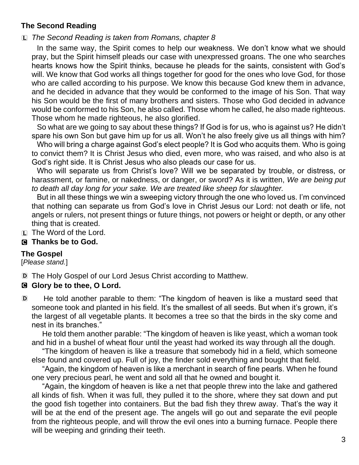# **The Second Reading**

#### L *The Second Reading is taken from Romans, chapter 8*

In the same way, the Spirit comes to help our weakness. We don't know what we should pray, but the Spirit himself pleads our case with unexpressed groans. The one who searches hearts knows how the Spirit thinks, because he pleads for the saints, consistent with God's will. We know that God works all things together for good for the ones who love God, for those who are called according to his purpose. We know this because God knew them in advance, and he decided in advance that they would be conformed to the image of his Son. That way his Son would be the first of many brothers and sisters. Those who God decided in advance would be conformed to his Son, he also called. Those whom he called, he also made righteous. Those whom he made righteous, he also glorified.

So what are we going to say about these things? If God is for us, who is against us? He didn't spare his own Son but gave him up for us all. Won't he also freely give us all things with him?

Who will bring a charge against God's elect people? It is God who acquits them. Who is going to convict them? It is Christ Jesus who died, even more, who was raised, and who also is at God's right side. It is Christ Jesus who also pleads our case for us.

Who will separate us from Christ's love? Will we be separated by trouble, or distress, or harassment, or famine, or nakedness, or danger, or sword? As it is written, *We are being put to death all day long for your sake. We are treated like sheep for slaughter.*

But in all these things we win a sweeping victory through the one who loved us. I'm convinced that nothing can separate us from God's love in Christ Jesus our Lord: not death or life, not angels or rulers, not present things or future things, not powers or height or depth, or any other thing that is created.

 $\Box$  The Word of the Lord.

#### C **Thanks be to God.**

#### **The Gospel**

[*Please stand.*]

D The Holy Gospel of our Lord Jesus Christ according to Matthew.

#### C **Glory be to thee, O Lord.**

D He told another parable to them: "The kingdom of heaven is like a mustard seed that someone took and planted in his field. It's the smallest of all seeds. But when it's grown, it's the largest of all vegetable plants. It becomes a tree so that the birds in the sky come and nest in its branches."

He told them another parable: "The kingdom of heaven is like yeast, which a woman took and hid in a bushel of wheat flour until the yeast had worked its way through all the dough.

"The kingdom of heaven is like a treasure that somebody hid in a field, which someone else found and covered up. Full of joy, the finder sold everything and bought that field.

"Again, the kingdom of heaven is like a merchant in search of fine pearls. When he found one very precious pearl, he went and sold all that he owned and bought it.

"Again, the kingdom of heaven is like a net that people threw into the lake and gathered all kinds of fish. When it was full, they pulled it to the shore, where they sat down and put the good fish together into containers. But the bad fish they threw away. That's the way it will be at the end of the present age. The angels will go out and separate the evil people from the righteous people, and will throw the evil ones into a burning furnace. People there will be weeping and grinding their teeth.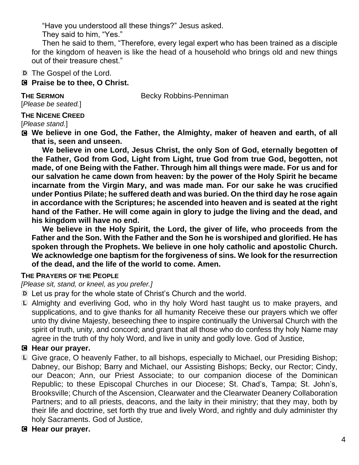"Have you understood all these things?" Jesus asked.

They said to him, "Yes."

Then he said to them, "Therefore, every legal expert who has been trained as a disciple for the kingdom of heaven is like the head of a household who brings old and new things out of their treasure chest."

D The Gospel of the Lord.

C **Praise be to thee, O Christ.**

[*Please be seated.*]

**THE SERMON** Becky Robbins-Penniman

### **THE NICENE CREED**

[*Please stand.*]

C **We believe in one God, the Father, the Almighty, maker of heaven and earth, of all that is, seen and unseen.** 

**We believe in one Lord, Jesus Christ, the only Son of God, eternally begotten of the Father, God from God, Light from Light, true God from true God, begotten, not made, of one Being with the Father. Through him all things were made. For us and for our salvation he came down from heaven: by the power of the Holy Spirit he became incarnate from the Virgin Mary, and was made man. For our sake he was crucified under Pontius Pilate; he suffered death and was buried. On the third day he rose again in accordance with the Scriptures; he ascended into heaven and is seated at the right hand of the Father. He will come again in glory to judge the living and the dead, and his kingdom will have no end.**

**We believe in the Holy Spirit, the Lord, the giver of life, who proceeds from the Father and the Son. With the Father and the Son he is worshiped and glorified. He has spoken through the Prophets. We believe in one holy catholic and apostolic Church. We acknowledge one baptism for the forgiveness of sins. We look for the resurrection of the dead, and the life of the world to come. Amen.**

#### **THE PRAYERS OF THE PEOPLE**

*[Please sit, stand, or kneel, as you prefer.]*

- D Let us pray for the whole state of Christ's Church and the world.
- L Almighty and everliving God, who in thy holy Word hast taught us to make prayers, and supplications, and to give thanks for all humanity Receive these our prayers which we offer unto thy divine Majesty, beseeching thee to inspire continually the Universal Church with the spirit of truth, unity, and concord; and grant that all those who do confess thy holy Name may agree in the truth of thy holy Word, and live in unity and godly love. God of Justice,

#### C **Hear our prayer.**

- L Give grace, O heavenly Father, to all bishops, especially to Michael, our Presiding Bishop; Dabney, our Bishop; Barry and Michael, our Assisting Bishops; Becky, our Rector; Cindy, our Deacon; Ann, our Priest Associate; to our companion diocese of the Dominican Republic; to these Episcopal Churches in our Diocese; St. Chad's, Tampa; St. John's, Brooksville; Church of the Ascension, Clearwater and the Clearwater Deanery Collaboration Partners; and to all priests, deacons, and the laity in their ministry; that they may, both by their life and doctrine, set forth thy true and lively Word, and rightly and duly administer thy holy Sacraments. God of Justice,
- C **Hear our prayer.**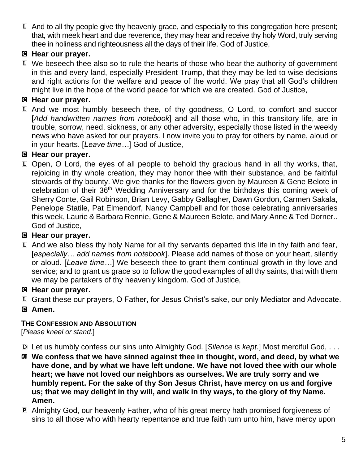L And to all thy people give thy heavenly grace, and especially to this congregation here present; that, with meek heart and due reverence, they may hear and receive thy holy Word, truly serving thee in holiness and righteousness all the days of their life. God of Justice,

## C **Hear our prayer.**

L We beseech thee also so to rule the hearts of those who bear the authority of government in this and every land, especially President Trump, that they may be led to wise decisions and right actions for the welfare and peace of the world. We pray that all God's children might live in the hope of the world peace for which we are created. God of Justice,

# C **Hear our prayer.**

L And we most humbly beseech thee, of thy goodness, O Lord, to comfort and succor [*Add handwritten names from notebook*] and all those who, in this transitory life, are in trouble, sorrow, need, sickness, or any other adversity, especially those listed in the weekly news who have asked for our prayers. I now invite you to pray for others by name, aloud or in your hearts. [*Leave time…*] God of Justice,

# C **Hear our prayer.**

L Open, O Lord, the eyes of all people to behold thy gracious hand in all thy works, that, rejoicing in thy whole creation, they may honor thee with their substance, and be faithful stewards of thy bounty. We give thanks for the flowers given by Maureen & Gene Belote in celebration of their 36<sup>th</sup> Wedding Anniversary and for the birthdays this coming week of Sherry Conte, Gail Robinson, Brian Levy, Gabby Gallagher, Dawn Gordon, Carmen Sakala, Penelope Statile, Pat Elmendorf, Nancy Campbell and for those celebrating anniversaries this week, Laurie & Barbara Rennie, Gene & Maureen Belote, and Mary Anne & Ted Dorner.. God of Justice,

# C **Hear our prayer.**

L And we also bless thy holy Name for all thy servants departed this life in thy faith and fear, [*especially… add names from notebook*]. Please add names of those on your heart, silently or aloud. [*Leave time…*] We beseech thee to grant them continual growth in thy love and service; and to grant us grace so to follow the good examples of all thy saints, that with them we may be partakers of thy heavenly kingdom. God of Justice,

# C **Hear our prayer.**

- L Grant these our prayers, O Father, for Jesus Christ's sake, our only Mediator and Advocate.
- C **Amen.**

# **THE CONFESSION AND ABSOLUTION**

[*Please kneel or stand.*]

- D Let us humbly confess our sins unto Almighty God. [*Silence is kept.*] Most merciful God, . . .
- a **We confess that we have sinned against thee in thought, word, and deed, by what we have done, and by what we have left undone. We have not loved thee with our whole heart; we have not loved our neighbors as ourselves. We are truly sorry and we humbly repent. For the sake of thy Son Jesus Christ, have mercy on us and forgive us; that we may delight in thy will, and walk in thy ways, to the glory of thy Name. Amen.**
- P Almighty God, our heavenly Father, who of his great mercy hath promised forgiveness of sins to all those who with hearty repentance and true faith turn unto him, have mercy upon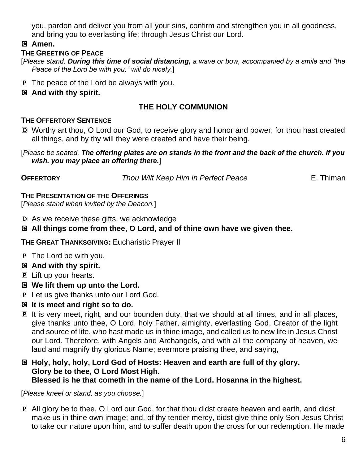you, pardon and deliver you from all your sins, confirm and strengthen you in all goodness, and bring you to everlasting life; through Jesus Christ our Lord.

#### C **Amen.**

#### **THE GREETING OF PEACE**

[*Please stand. During this time of social distancing, a wave or bow, accompanied by a smile and "the Peace of the Lord be with you," will do nicely.*]

- P The peace of the Lord be always with you.
- C **And with thy spirit.**

#### **THE HOLY COMMUNION**

#### **THE OFFERTORY SENTENCE**

D Worthy art thou, O Lord our God, to receive glory and honor and power; for thou hast created all things, and by thy will they were created and have their being.

[*Please be seated. The offering plates are on stands in the front and the back of the church. If you wish, you may place an offering there.*]

**OFFERTORY** *Thou Wilt Keep Him in Perfect Peace* E. Thiman

#### **THE PRESENTATION OF THE OFFERINGS**

[*Please stand when invited by the Deacon.*]

D As we receive these gifts, we acknowledge

#### C **All things come from thee, O Lord, and of thine own have we given thee.**

**THE GREAT THANKSGIVING:** Eucharistic Prayer II

- P The Lord be with you.
- C **And with thy spirit.**
- P Lift up your hearts.
- C **We lift them up unto the Lord.**
- **P** Let us give thanks unto our Lord God.
- C **It is meet and right so to do.**
- P It is very meet, right, and our bounden duty, that we should at all times, and in all places, give thanks unto thee, O Lord, holy Father, almighty, everlasting God, Creator of the light and source of life, who hast made us in thine image, and called us to new life in Jesus Christ our Lord. Therefore, with Angels and Archangels, and with all the company of heaven, we laud and magnify thy glorious Name; evermore praising thee, and saying,

C **Holy, holy, holy, Lord God of Hosts: Heaven and earth are full of thy glory. Glory be to thee, O Lord Most High. Blessed is he that cometh in the name of the Lord. Hosanna in the highest.**

[*Please kneel or stand, as you choose.*]

P All glory be to thee, O Lord our God, for that thou didst create heaven and earth, and didst make us in thine own image; and, of thy tender mercy, didst give thine only Son Jesus Christ to take our nature upon him, and to suffer death upon the cross for our redemption. He made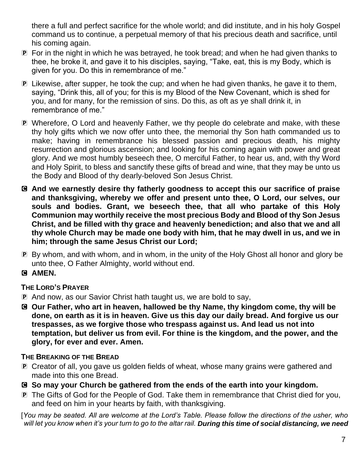there a full and perfect sacrifice for the whole world; and did institute, and in his holy Gospel command us to continue, a perpetual memory of that his precious death and sacrifice, until his coming again.

- P For in the night in which he was betrayed, he took bread; and when he had given thanks to thee, he broke it, and gave it to his disciples, saying, "Take, eat, this is my Body, which is given for you. Do this in remembrance of me."
- P Likewise, after supper, he took the cup; and when he had given thanks, he gave it to them, saying, "Drink this, all of you; for this is my Blood of the New Covenant, which is shed for you, and for many, for the remission of sins. Do this, as oft as ye shall drink it, in remembrance of me."
- P Wherefore, O Lord and heavenly Father, we thy people do celebrate and make, with these thy holy gifts which we now offer unto thee, the memorial thy Son hath commanded us to make; having in remembrance his blessed passion and precious death, his mighty resurrection and glorious ascension; and looking for his coming again with power and great glory. And we most humbly beseech thee, O merciful Father, to hear us, and, with thy Word and Holy Spirit, to bless and sanctify these gifts of bread and wine, that they may be unto us the Body and Blood of thy dearly-beloved Son Jesus Christ.
- C **And we earnestly desire thy fatherly goodness to accept this our sacrifice of praise and thanksgiving, whereby we offer and present unto thee, O Lord, our selves, our souls and bodies. Grant, we beseech thee, that all who partake of this Holy Communion may worthily receive the most precious Body and Blood of thy Son Jesus Christ, and be filled with thy grace and heavenly benediction; and also that we and all thy whole Church may be made one body with him, that he may dwell in us, and we in him; through the same Jesus Christ our Lord;**
- P By whom, and with whom, and in whom, in the unity of the Holy Ghost all honor and glory be unto thee, O Father Almighty, world without end.
- C **AMEN.**

#### **THE LORD'S PRAYER**

- P And now, as our Savior Christ hath taught us, we are bold to say,
- C **Our Father, who art in heaven, hallowed be thy Name, thy kingdom come, thy will be done, on earth as it is in heaven. Give us this day our daily bread. And forgive us our trespasses, as we forgive those who trespass against us. And lead us not into temptation, but deliver us from evil. For thine is the kingdom, and the power, and the glory, for ever and ever. Amen.**

#### **THE BREAKING OF THE BREAD**

- P Creator of all, you gave us golden fields of wheat, whose many grains were gathered and made into this one Bread.
- C **So may your Church be gathered from the ends of the earth into your kingdom.**
- P The Gifts of God for the People of God. Take them in remembrance that Christ died for you, and feed on him in your hearts by faith, with thanksgiving.

[*You may be seated. All are welcome at the Lord's Table. Please follow the directions of the usher, who will let you know when it's your turn to go to the altar rail. During this time of social distancing, we need*